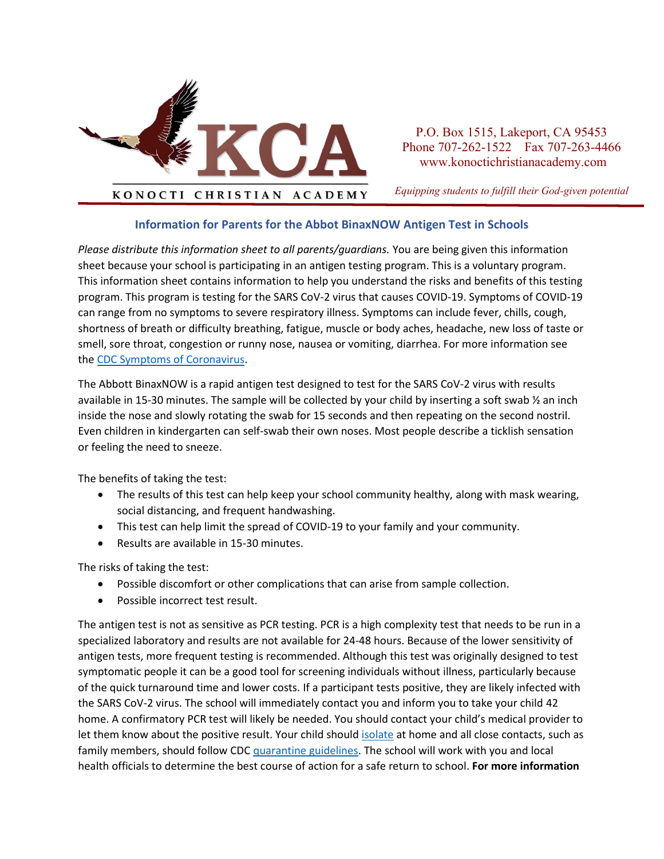

P.O. Box 1515, Lakeport, CA 95453 Phone 707-262-1522 Fax 707-263-4466 www.konoctichristianacademy.com

*Equipping students to fulfill their God-given potential*

## **Information for Parents for the Abbot BinaxNOW Antigen Test in Schools**

*Please distribute this information sheet to all parents/guardians.* You are being given this information sheet because your school is participating in an antigen testing program. This is a voluntary program. This information sheet contains information to help you understand the risks and benefits of this testing program. This program is testing for the SARS CoV-2 virus that causes COVID-19. Symptoms of COVID-19 can range from no symptoms to severe respiratory illness. Symptoms can include fever, chills, cough, shortness of breath or difficulty breathing, fatigue, muscle or body aches, headache, new loss of taste or smell, sore throat, congestion or runny nose, nausea or vomiting, diarrhea. For more information see th[e CDC Symptoms of Coronavirus.](https://www.cdc.gov/coronavirus/2019-ncov/symptoms-testing/symptoms.html)

The Abbott BinaxNOW is a rapid antigen test designed to test for the SARS CoV-2 virus with results available in 15-30 minutes. The sample will be collected by your child by inserting a soft swab ½ an inch inside the nose and slowly rotating the swab for 15 seconds and then repeating on the second nostril. Even children in kindergarten can self-swab their own noses. Most people describe a ticklish sensation or feeling the need to sneeze.

The benefits of taking the test:

- The results of this test can help keep your school community healthy, along with mask wearing, social distancing, and frequent handwashing.
- This test can help limit the spread of COVID-19 to your family and your community.
- Results are available in 15-30 minutes.

The risks of taking the test:

- Possible discomfort or other complications that can arise from sample collection.
- Possible incorrect test result.

The antigen test is not as sensitive as PCR testing. PCR is a high complexity test that needs to be run in a specialized laboratory and results are not available for 24-48 hours. Because of the lower sensitivity of antigen tests, more frequent testing is recommended. Although this test was originally designed to test symptomatic people it can be a good tool for screening individuals without illness, particularly because of the quick turnaround time and lower costs. If a participant tests positive, they are likely infected with the SARS CoV-2 virus. The school will immediately contact you and inform you to take your child 42 home. A confirmatory PCR test will likely be needed. You should contact your child's medical provider to let them know about the positive result. Your child shoul[d isolate](https://www.cdc.gov/coronavirus/2019-ncov/your-health/quarantine-isolation.html?CDC_AA_refVal=https%3A%2F%2Fwww.cdc.gov%2Fcoronavirus%2F2019-ncov%2Fif-you-are-sick%2Fquarantine.html) at home and all close contacts, such as family members, should follow CDC [quarantine guidelines.](https://www.cdc.gov/coronavirus/2019-ncov/your-health/quarantine-isolation.html?CDC_AA_refVal=https%3A%2F%2Fwww.cdc.gov%2Fcoronavirus%2F2019-ncov%2Fif-you-are-sick%2Fquarantine.html) The school will work with you and local health officials to determine the best course of action for a safe return to school. **For more information**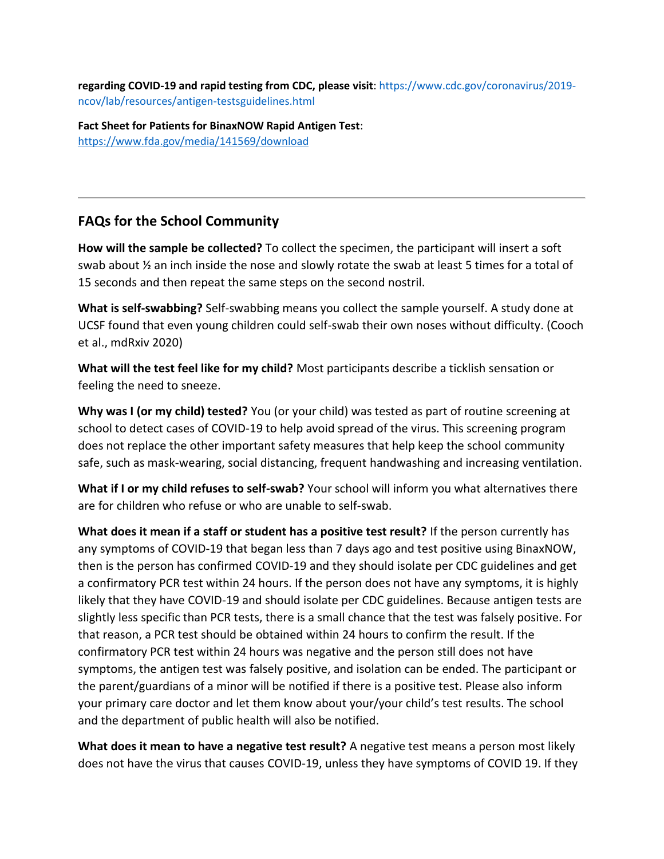**regarding COVID-19 and rapid testing from CDC, please visit**: https://www.cdc.gov/coronavirus/2019 ncov/lab/resources/antigen-testsguidelines.html

**Fact Sheet for Patients for BinaxNOW Rapid Antigen Test**: <https://www.fda.gov/media/141569/download>

## **FAQs for the School Community**

**How will the sample be collected?** To collect the specimen, the participant will insert a soft swab about ½ an inch inside the nose and slowly rotate the swab at least 5 times for a total of 15 seconds and then repeat the same steps on the second nostril.

**What is self-swabbing?** Self-swabbing means you collect the sample yourself. A study done at UCSF found that even young children could self-swab their own noses without difficulty. (Cooch et al., mdRxiv 2020)

**What will the test feel like for my child?** Most participants describe a ticklish sensation or feeling the need to sneeze.

**Why was I (or my child) tested?** You (or your child) was tested as part of routine screening at school to detect cases of COVID-19 to help avoid spread of the virus. This screening program does not replace the other important safety measures that help keep the school community safe, such as mask-wearing, social distancing, frequent handwashing and increasing ventilation.

**What if I or my child refuses to self-swab?** Your school will inform you what alternatives there are for children who refuse or who are unable to self-swab.

**What does it mean if a staff or student has a positive test result?** If the person currently has any symptoms of COVID-19 that began less than 7 days ago and test positive using BinaxNOW, then is the person has confirmed COVID-19 and they should isolate per CDC guidelines and get a confirmatory PCR test within 24 hours. If the person does not have any symptoms, it is highly likely that they have COVID-19 and should isolate per CDC guidelines. Because antigen tests are slightly less specific than PCR tests, there is a small chance that the test was falsely positive. For that reason, a PCR test should be obtained within 24 hours to confirm the result. If the confirmatory PCR test within 24 hours was negative and the person still does not have symptoms, the antigen test was falsely positive, and isolation can be ended. The participant or the parent/guardians of a minor will be notified if there is a positive test. Please also inform your primary care doctor and let them know about your/your child's test results. The school and the department of public health will also be notified.

**What does it mean to have a negative test result?** A negative test means a person most likely does not have the virus that causes COVID-19, unless they have symptoms of COVID 19. If they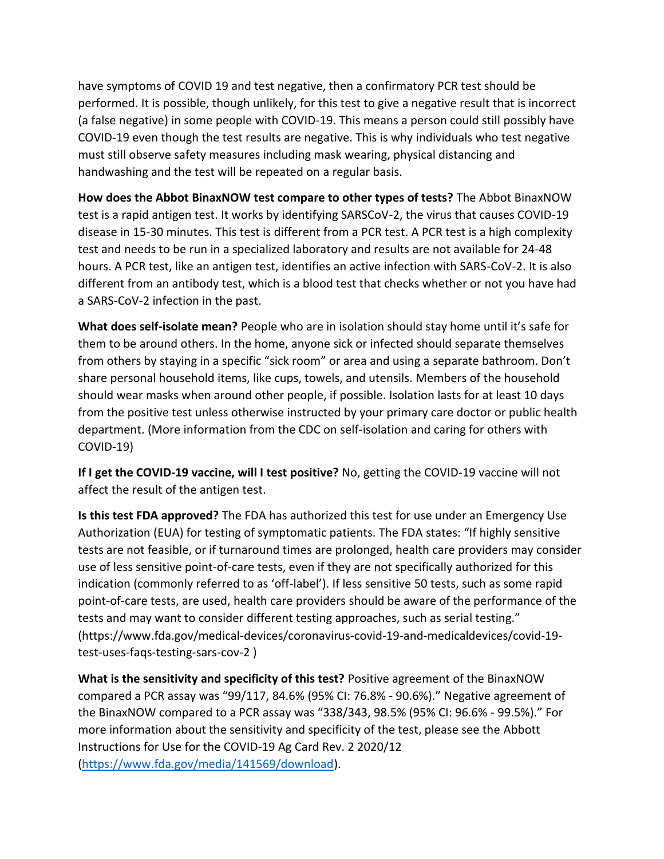have symptoms of COVID 19 and test negative, then a confirmatory PCR test should be performed. It is possible, though unlikely, for this test to give a negative result that is incorrect (a false negative) in some people with COVID-19. This means a person could still possibly have COVID-19 even though the test results are negative. This is why individuals who test negative must still observe safety measures including mask wearing, physical distancing and handwashing and the test will be repeated on a regular basis.

**How does the Abbot BinaxNOW test compare to other types of tests?** The Abbot BinaxNOW test is a rapid antigen test. It works by identifying SARSCoV-2, the virus that causes COVID-19 disease in 15-30 minutes. This test is different from a PCR test. A PCR test is a high complexity test and needs to be run in a specialized laboratory and results are not available for 24-48 hours. A PCR test, like an antigen test, identifies an active infection with SARS-CoV-2. It is also different from an antibody test, which is a blood test that checks whether or not you have had a SARS-CoV-2 infection in the past.

**What does self-isolate mean?** People who are in isolation should stay home until it's safe for them to be around others. In the home, anyone sick or infected should separate themselves from others by staying in a specific "sick room" or area and using a separate bathroom. Don't share personal household items, like cups, towels, and utensils. Members of the household should wear masks when around other people, if possible. Isolation lasts for at least 10 days from the positive test unless otherwise instructed by your primary care doctor or public health department. (More information from the CDC on self-isolation and caring for others with COVID-19)

**If I get the COVID-19 vaccine, will I test positive?** No, getting the COVID-19 vaccine will not affect the result of the antigen test.

**Is this test FDA approved?** The FDA has authorized this test for use under an Emergency Use Authorization (EUA) for testing of symptomatic patients. The FDA states: "If highly sensitive tests are not feasible, or if turnaround times are prolonged, health care providers may consider use of less sensitive point-of-care tests, even if they are not specifically authorized for this indication (commonly referred to as 'off-label'). If less sensitive 50 tests, such as some rapid point-of-care tests, are used, health care providers should be aware of the performance of the tests and may want to consider different testing approaches, such as serial testing." (https://www.fda.gov/medical-devices/coronavirus-covid-19-and-medicaldevices/covid-19 test-uses-faqs-testing-sars-cov-2 )

**What is the sensitivity and specificity of this test?** Positive agreement of the BinaxNOW compared a PCR assay was "99/117, 84.6% (95% CI: 76.8% - 90.6%)." Negative agreement of the BinaxNOW compared to a PCR assay was "338/343, 98.5% (95% CI: 96.6% - 99.5%)." For more information about the sensitivity and specificity of the test, please see the Abbott Instructions for Use for the COVID-19 Ag Card Rev. 2 2020/12 [\(https://www.fda.gov/media/141569/download\)](https://www.fda.gov/media/141569/download).